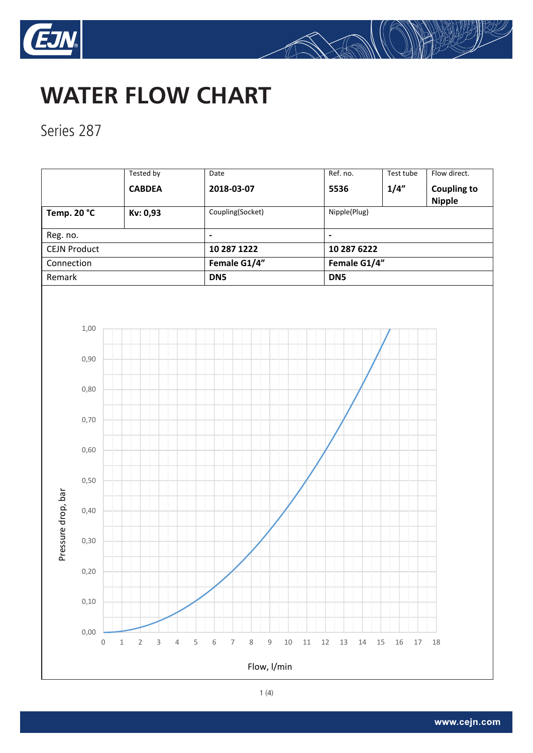



**Series 287** 

|                         |                     | <b>Tested by</b>                                          | Date                                                                       | Ref. no.                   | Test tube              | Flow direct.                        |  |
|-------------------------|---------------------|-----------------------------------------------------------|----------------------------------------------------------------------------|----------------------------|------------------------|-------------------------------------|--|
|                         |                     | <b>CABDEA</b>                                             | 2018-03-07                                                                 | 5536                       | 1/4"                   | <b>Coupling to</b><br><b>Nipple</b> |  |
| Temp. 20 °C<br>Kv: 0,93 |                     |                                                           | Coupling(Socket)                                                           | Nipple(Plug)               |                        |                                     |  |
| Reg. no.                |                     |                                                           | $\blacksquare$                                                             | $\overline{a}$             |                        |                                     |  |
| <b>CEJN Product</b>     |                     |                                                           | 10 287 1222                                                                |                            | 10 287 6222            |                                     |  |
| Connection              |                     |                                                           | Female G1/4"                                                               |                            | Female G1/4"           |                                     |  |
| Remark                  |                     |                                                           | DN5<br>DN5                                                                 |                            |                        |                                     |  |
|                         | 1,00                |                                                           |                                                                            |                            |                        |                                     |  |
| Pressure drop, bar      | 0,90                |                                                           |                                                                            |                            |                        |                                     |  |
|                         | 0,80                |                                                           |                                                                            |                            |                        |                                     |  |
|                         | 0,70                |                                                           |                                                                            |                            |                        |                                     |  |
|                         | 0,60                |                                                           |                                                                            |                            |                        |                                     |  |
|                         | 0,50                |                                                           |                                                                            |                            |                        |                                     |  |
|                         | 0,40                |                                                           |                                                                            |                            |                        |                                     |  |
|                         | 0,30                |                                                           |                                                                            |                            |                        |                                     |  |
|                         | 0,20                |                                                           |                                                                            |                            |                        |                                     |  |
|                         | 0,10                |                                                           |                                                                            |                            |                        |                                     |  |
|                         | 0,00<br>$\mathbf 0$ | $\overline{3}$<br>$\sqrt{2}$<br>$\overline{4}$<br>$\,1\,$ | 5<br>$\mathsf 9$<br>6<br>$\overline{\phantom{a}}$<br>8<br>$10\,$<br>$11\,$ | $12\,$<br>$13\,$<br>$14\,$ | $15\,$<br>16<br>$17\,$ | 18                                  |  |
| Flow, l/min             |                     |                                                           |                                                                            |                            |                        |                                     |  |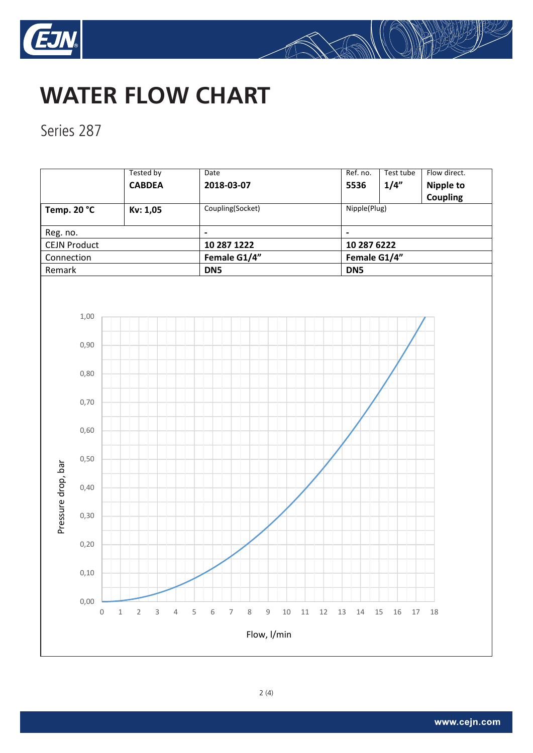



Series 287

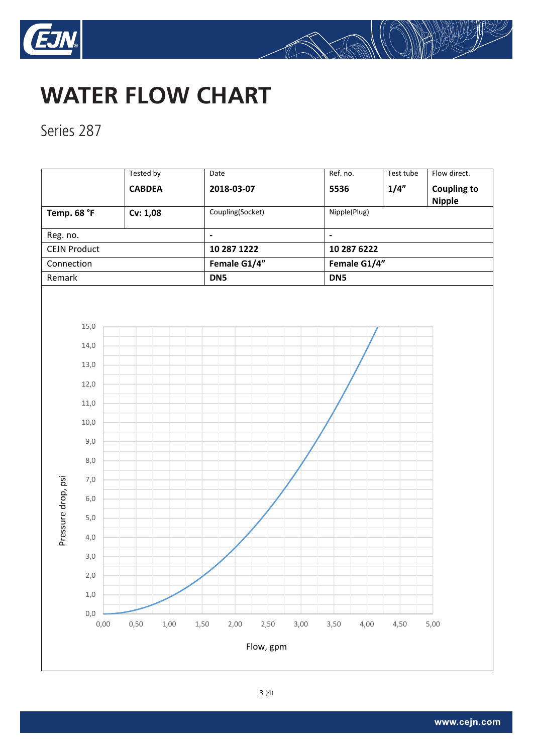



**WATER FLOW CHART CHART CHART CHART CHART CHART CHART CHART CHART CHART CHART CHART CHART CHART CHART CHART CHA** Series 287